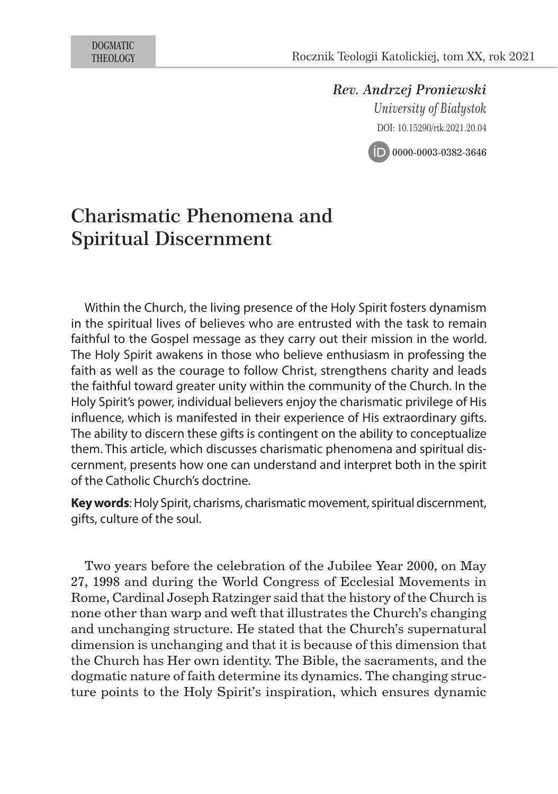*Rev. Andrzej Proniewski University of Białystok* DOI: 10.15290/rtk.2021.20.04



# Charismatic Phenomena and Spiritual Discernment

Within the Church, the living presence of the Holy Spirit fosters dynamism in the spiritual lives of believes who are entrusted with the task to remain faithful to the Gospel message as they carry out their mission in the world. The Holy Spirit awakens in those who believe enthusiasm in professing the faith as well as the courage to follow Christ, strengthens charity and leads the faithful toward greater unity within the community of the Church. In the Holy Spirit's power, individual believers enjoy the charismatic privilege of His influence, which is manifested in their experience of His extraordinary gifts. The ability to discern these gifts is contingent on the ability to conceptualize them. This article, which discusses charismatic phenomena and spiritual discernment, presents how one can understand and interpret both in the spirit of the Catholic Church's doctrine.

**Key words**: Holy Spirit, charisms, charismatic movement, spiritual discernment, gifts, culture of the soul.

Two years before the celebration of the Jubilee Year 2000, on May 27, 1998 and during the World Congress of Ecclesial Movements in Rome, Cardinal Joseph Ratzinger said that the history of the Church is none other than warp and weft that illustrates the Church's changing and unchanging structure. He stated that the Church's supernatural dimension is unchanging and that it is because of this dimension that the Church has Her own identity. The Bible, the sacraments, and the dogmatic nature of faith determine its dynamics. The changing structure points to the Holy Spirit's inspiration, which ensures dynamic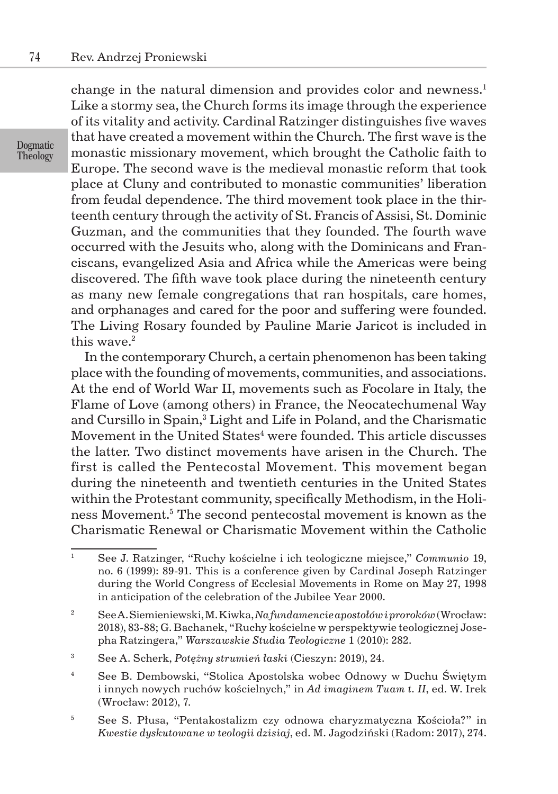change in the natural dimension and provides color and newness. $1$ Like a stormy sea, the Church forms its image through the experience of its vitality and activity. Cardinal Ratzinger distinguishes five waves that have created a movement within the Church. The first wave is the monastic missionary movement, which brought the Catholic faith to Europe. The second wave is the medieval monastic reform that took place at Cluny and contributed to monastic communities' liberation from feudal dependence. The third movement took place in the thirteenth century through the activity of St. Francis of Assisi, St. Dominic Guzman, and the communities that they founded. The fourth wave occurred with the Jesuits who, along with the Dominicans and Franciscans, evangelized Asia and Africa while the Americas were being discovered. The fifth wave took place during the nineteenth century as many new female congregations that ran hospitals, care homes, and orphanages and cared for the poor and suffering were founded. The Living Rosary founded by Pauline Marie Jaricot is included in this wave.<sup>2</sup>

In the contemporary Church, a certain phenomenon has been taking place with the founding of movements, communities, and associations. At the end of World War II, movements such as Focolare in Italy, the Flame of Love (among others) in France, the Neocatechumenal Way and Cursillo in Spain,<sup>3</sup> Light and Life in Poland, and the Charismatic Movement in the United  $\rm States^4$  were founded. This article discusses the latter. Two distinct movements have arisen in the Church. The first is called the Pentecostal Movement. This movement began during the nineteenth and twentieth centuries in the United States within the Protestant community, specifically Methodism, in the Holiness Movement.<sup>5</sup> The second pentecostal movement is known as the Charismatic Renewal or Charismatic Movement within the Catholic

Dogmatic Theology

<sup>1</sup> See J. Ratzinger, "Ruchy kościelne i ich teologiczne miejsce," *Communio* 19, no. 6 (1999): 89-91. This is a conference given by Cardinal Joseph Ratzinger during the World Congress of Ecclesial Movements in Rome on May 27, 1998 in anticipation of the celebration of the Jubilee Year 2000.

<sup>2</sup> See A. Siemieniewski, M. Kiwka, *Na fundamencie apostołów i proroków* (Wrocław: 2018), 83-88; G. Bachanek, "Ruchy kościelne w perspektywie teologicznej Josepha Ratzingera," *Warszawskie Studia Teologiczne* 1 (2010): 282.

<sup>3</sup> See A. Scherk, *Potężny strumień łaski* (Cieszyn: 2019), 24.

<sup>4</sup> See B. Dembowski, "Stolica Apostolska wobec Odnowy w Duchu Świętym i innych nowych ruchów kościelnych," in *Ad imaginem Tuam t. II*, ed. W. Irek (Wrocław: 2012), 7.

<sup>5</sup> See S. Płusa, "Pentakostalizm czy odnowa charyzmatyczna Kościoła?" in *Kwestie dyskutowane w teologii dzisiaj*, ed. M. Jagodziński (Radom: 2017), 274.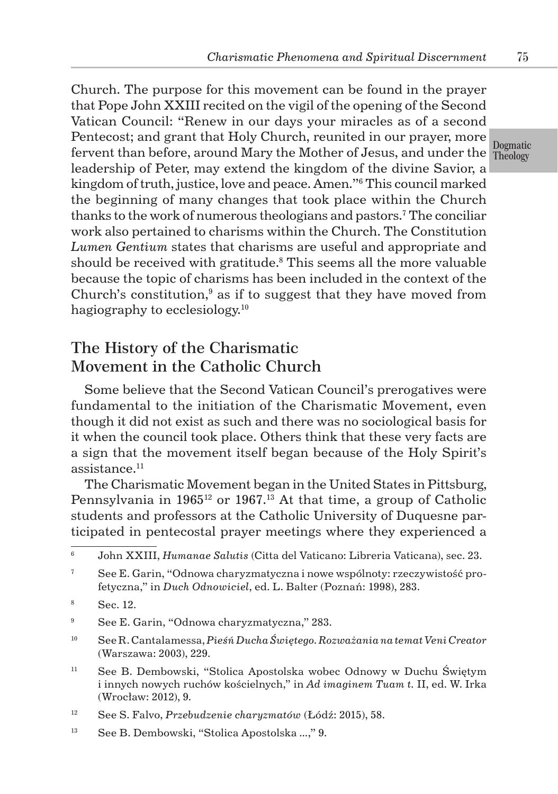fervent than before, around Mary the Mother of Jesus, and under the  $\frac{1}{\rm Theology}$ Church. The purpose for this movement can be found in the prayer that Pope John XXIII recited on the vigil of the opening of the Second Vatican Council: "Renew in our days your miracles as of a second Pentecost; and grant that Holy Church, reunited in our prayer, more leadership of Peter, may extend the kingdom of the divine Savior, a kingdom of truth, justice, love and peace. Amen."<sup>6</sup> This council marked the beginning of many changes that took place within the Church thanks to the work of numerous theologians and pastors.<sup>7</sup> The conciliar work also pertained to charisms within the Church. The Constitution *Lumen Gentium* states that charisms are useful and appropriate and should be received with gratitude.<sup>8</sup> This seems all the more valuable because the topic of charisms has been included in the context of the Church's constitution, $\delta$  as if to suggest that they have moved from hagiography to ecclesiology.<sup>10</sup>

## The History of the Charismatic Movement in the Catholic Church

Some believe that the Second Vatican Council's prerogatives were fundamental to the initiation of the Charismatic Movement, even though it did not exist as such and there was no sociological basis for it when the council took place. Others think that these very facts are a sign that the movement itself began because of the Holy Spirit's assistance.11

The Charismatic Movement began in the United States in Pittsburg, Pennsylvania in 1965<sup>12</sup> or 1967.<sup>13</sup> At that time, a group of Catholic students and professors at the Catholic University of Duquesne participated in pentecostal prayer meetings where they experienced a

<sup>11</sup> See B. Dembowski, "Stolica Apostolska wobec Odnowy w Duchu Świętym i innych nowych ruchów kościelnych," in *Ad imaginem Tuam t.* II, ed. W. Irka (Wrocław: 2012), 9.

Dogmatic

<sup>6</sup> John XXIII, *Humanae Salutis* (Citta del Vaticano: Libreria Vaticana), sec. 23.

 $7^7$  See E. Garin, "Odnowa charyzmatyczna i nowe wspólnoty: rzeczywistość profetyczna," in *Duch Odnowiciel*, ed. L. Balter (Poznań: 1998), 283.

<sup>8</sup> Sec. 12.

<sup>9</sup> See E. Garin, "Odnowa charyzmatyczna," 283.

<sup>10</sup> See R. Cantalamessa, *Pieśń Ducha Świętego. Rozważania na temat Veni Creator* (Warszawa: 2003), 229.

<sup>12</sup> See S. Falvo, *Przebudzenie charyzmatów* (Łódź: 2015), 58.

<sup>13</sup> See B. Dembowski, "Stolica Apostolska *...*," 9.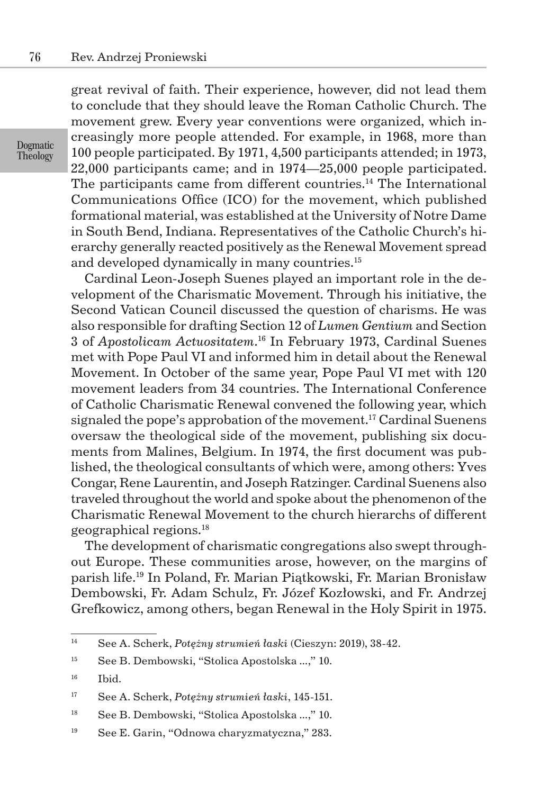Dogmatic **Theology** 

great revival of faith. Their experience, however, did not lead them to conclude that they should leave the Roman Catholic Church. The movement grew. Every year conventions were organized, which increasingly more people attended. For example, in 1968, more than 100 people participated. By 1971, 4,500 participants attended; in 1973, 22,000 participants came; and in 1974—25,000 people participated. The participants came from different countries.<sup>14</sup> The International Communications Office (ICO) for the movement, which published formational material, was established at the University of Notre Dame in South Bend, Indiana. Representatives of the Catholic Church's hierarchy generally reacted positively as the Renewal Movement spread and developed dynamically in many countries.<sup>15</sup>

Cardinal Leon-Joseph Suenes played an important role in the development of the Charismatic Movement. Through his initiative, the Second Vatican Council discussed the question of charisms. He was also responsible for drafting Section 12 of *Lumen Gentium* and Section 3 of *Apostolicam Actuositatem*. <sup>16</sup> In February 1973, Cardinal Suenes met with Pope Paul VI and informed him in detail about the Renewal Movement. In October of the same year, Pope Paul VI met with 120 movement leaders from 34 countries. The International Conference of Catholic Charismatic Renewal convened the following year, which signaled the pope's approbation of the movement.<sup>17</sup> Cardinal Suenens oversaw the theological side of the movement, publishing six documents from Malines, Belgium. In 1974, the first document was published, the theological consultants of which were, among others: Yves Congar, Rene Laurentin, and Joseph Ratzinger. Cardinal Suenens also traveled throughout the world and spoke about the phenomenon of the Charismatic Renewal Movement to the church hierarchs of different geographical regions.<sup>18</sup>

The development of charismatic congregations also swept throughout Europe. These communities arose, however, on the margins of parish life.<sup>19</sup> In Poland, Fr. Marian Piątkowski, Fr. Marian Bronisław Dembowski, Fr. Adam Schulz, Fr. Józef Kozłowski, and Fr. Andrzej Grefkowicz, among others, began Renewal in the Holy Spirit in 1975.

<sup>14</sup> See A. Scherk, *Potężny strumień łaski* (Cieszyn: 2019), 38-42.

<sup>15</sup> See B. Dembowski, "Stolica Apostolska *...*," 10.

<sup>16</sup> Ibid.

<sup>17</sup> See A. Scherk, *Potężny strumień łaski*, 145-151.

<sup>18</sup> See B. Dembowski, "Stolica Apostolska *...*," 10.

<sup>19</sup> See E. Garin, "Odnowa charyzmatyczna," 283.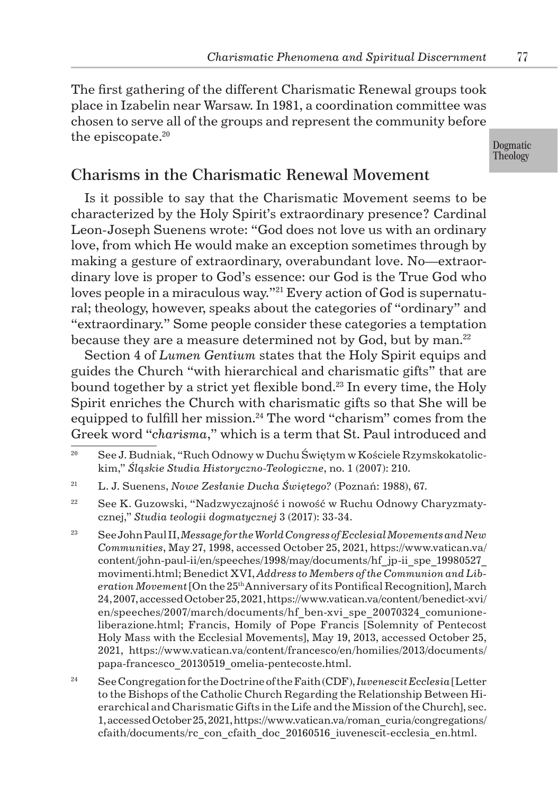The first gathering of the different Charismatic Renewal groups took place in Izabelin near Warsaw. In 1981, a coordination committee was chosen to serve all of the groups and represent the community before the episcopate.<sup>20</sup>

Dogmatic Theology

## Charisms in the Charismatic Renewal Movement

Is it possible to say that the Charismatic Movement seems to be characterized by the Holy Spirit's extraordinary presence? Cardinal Leon-Joseph Suenens wrote: "God does not love us with an ordinary love, from which He would make an exception sometimes through by making a gesture of extraordinary, overabundant love. No—extraordinary love is proper to God's essence: our God is the True God who loves people in a miraculous way."<sup>21</sup> Every action of God is supernatural; theology, however, speaks about the categories of "ordinary" and "extraordinary." Some people consider these categories a temptation because they are a measure determined not by God, but by man.<sup>22</sup>

Section 4 of *Lumen Gentium* states that the Holy Spirit equips and guides the Church "with hierarchical and charismatic gifts" that are bound together by a strict yet flexible bond.<sup>23</sup> In every time, the Holy Spirit enriches the Church with charismatic gifts so that She will be equipped to fulfill her mission.<sup>24</sup> The word "charism" comes from the Greek word "*charisma*," which is a term that St. Paul introduced and

<sup>&</sup>lt;sup>20</sup> See J. Budniak, "Ruch Odnowy w Duchu Świętym w Kościele Rzymskokatolickim," *Śląskie Studia Historyczno-Teologiczne*, no. 1 (2007): 210.

<sup>21</sup> L. J. Suenens, *Nowe Zesłanie Ducha Świętego?* (Poznań: 1988), 67.

<sup>&</sup>lt;sup>22</sup> See K. Guzowski, "Nadzwyczajność i nowość w Ruchu Odnowy Charyzmatycznej," *Studia teologii dogmatycznej* 3 (2017): 33-34.

<sup>23</sup> See John Paul II, *Message for the World Congress of Ecclesial Movements and New Communities*, May 27, 1998, accessed October 25, 2021, https://www.vatican.va/ content/john-paul-ii/en/speeches/1998/may/documents/hf\_jp-ii\_spe\_19980527\_ movimenti.html; Benedict XVI, *Address to Members of the Communion and Liberation Movement* [On the 25thAnniversary of its Pontifical Recognition], March 24, 2007, accessed October 25, 2021, https://www.vatican.va/content/benedict-xvi/ en/speeches/2007/march/documents/hf\_ben-xvi\_spe\_20070324\_comunioneliberazione.html; Francis, Homily of Pope Francis [Solemnity of Pentecost Holy Mass with the Ecclesial Movements], May 19, 2013, accessed October 25, 2021, https://www.vatican.va/content/francesco/en/homilies/2013/documents/ papa-francesco\_20130519\_omelia-pentecoste.html.

<sup>24</sup> See Congregation for the Doctrine of the Faith (CDF), *Iuvenescit Ecclesia* [Letter to the Bishops of the Catholic Church Regarding the Relationship Between Hierarchical and Charismatic Gifts in the Life and the Mission of the Church], sec. 1, accessed October 25, 2021, https://www.vatican.va/roman\_curia/congregations/ cfaith/documents/rc\_con\_cfaith\_doc\_20160516\_iuvenescit-ecclesia\_en.html.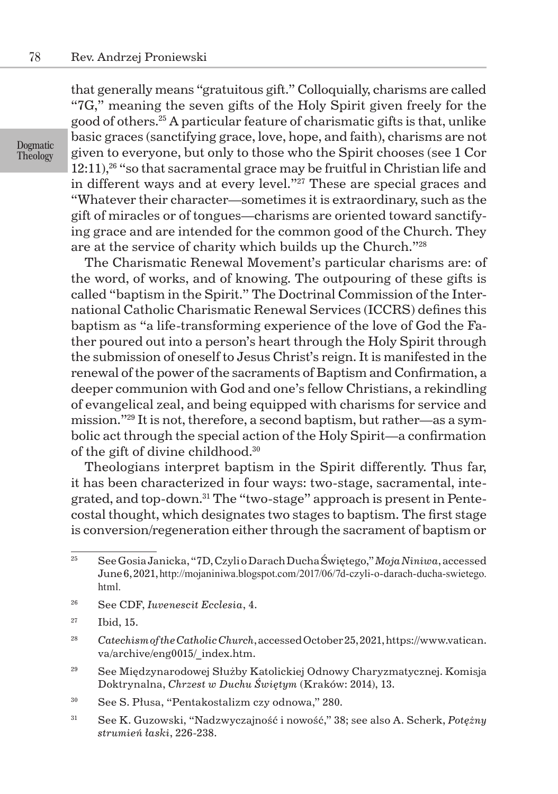that generally means "gratuitous gift." Colloquially, charisms are called "7G," meaning the seven gifts of the Holy Spirit given freely for the good of others.<sup>25</sup> A particular feature of charismatic gifts is that, unlike basic graces (sanctifying grace, love, hope, and faith), charisms are not given to everyone, but only to those who the Spirit chooses (see 1 Cor  $12:11$ <sup>26</sup> "so that sacramental grace may be fruitful in Christian life and in different ways and at every level."<sup>27</sup> These are special graces and "Whatever their character—sometimes it is extraordinary, such as the gift of miracles or of tongues—charisms are oriented toward sanctifying grace and are intended for the common good of the Church. They are at the service of charity which builds up the Church."<sup>28</sup>

The Charismatic Renewal Movement's particular charisms are: of the word, of works, and of knowing. The outpouring of these gifts is called "baptism in the Spirit." The Doctrinal Commission of the International Catholic Charismatic Renewal Services (ICCRS) defines this baptism as "a life-transforming experience of the love of God the Father poured out into a person's heart through the Holy Spirit through the submission of oneself to Jesus Christ's reign. It is manifested in the renewal of the power of the sacraments of Baptism and Confirmation, a deeper communion with God and one's fellow Christians, a rekindling of evangelical zeal, and being equipped with charisms for service and mission."29 It is not, therefore, a second baptism, but rather—as a symbolic act through the special action of the Holy Spirit—a confirmation of the gift of divine childhood.<sup>30</sup>

Theologians interpret baptism in the Spirit differently. Thus far, it has been characterized in four ways: two-stage, sacramental, integrated, and top-down.31 The "two-stage" approach is present in Pentecostal thought, which designates two stages to baptism. The first stage is conversion/regeneration either through the sacrament of baptism or

- <sup>29</sup> See Międzynarodowej Służby Katolickiej Odnowy Charyzmatycznej. Komisja Doktrynalna, *Chrzest w Duchu Świętym* (Kraków: 2014), 13.
- <sup>30</sup> See S. Płusa, "Pentakostalizm czy odnowa," 280.
- <sup>31</sup> See K. Guzowski, "Nadzwyczajność i nowość," 38; see also A. Scherk, *Potężny strumień łaski*, 226-238.

Dogmatic **Theology** 

<sup>25</sup> See Gosia Janicka, "7D, Czyli o Darach Ducha Świętego," *Moja Niniwa*, accessed June 6, 2021, http://mojaniniwa.blogspot.com/2017/06/7d-czyli-o-darach-ducha-swietego. html.

<sup>26</sup> See CDF, *Iuvenescit Ecclesia*, 4.

<sup>27</sup> Ibid, 15.

<sup>28</sup> *Catechism of the Catholic Church*, accessed October 25, 2021, https://www.vatican. va/archive/eng0015/\_index.htm.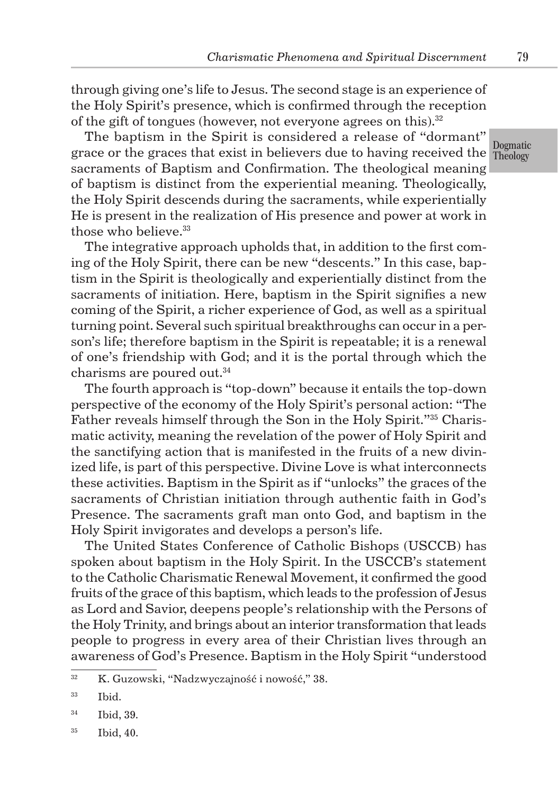through giving one's life to Jesus. The second stage is an experience of the Holy Spirit's presence, which is confirmed through the reception of the gift of tongues (however, not everyone agrees on this). $32$ 

grace or the graces that exist in believers due to having received the Theology The baptism in the Spirit is considered a release of "dormant" sacraments of Baptism and Confirmation. The theological meaning of baptism is distinct from the experiential meaning. Theologically, the Holy Spirit descends during the sacraments, while experientially He is present in the realization of His presence and power at work in those who believe.<sup>33</sup>

The integrative approach upholds that, in addition to the first coming of the Holy Spirit, there can be new "descents." In this case, baptism in the Spirit is theologically and experientially distinct from the sacraments of initiation. Here, baptism in the Spirit signifies a new coming of the Spirit, a richer experience of God, as well as a spiritual turning point. Several such spiritual breakthroughs can occur in a person's life; therefore baptism in the Spirit is repeatable; it is a renewal of one's friendship with God; and it is the portal through which the charisms are poured out.<sup>34</sup>

The fourth approach is "top-down" because it entails the top-down perspective of the economy of the Holy Spirit's personal action: "The Father reveals himself through the Son in the Holy Spirit."35 Charismatic activity, meaning the revelation of the power of Holy Spirit and the sanctifying action that is manifested in the fruits of a new divinized life, is part of this perspective. Divine Love is what interconnects these activities. Baptism in the Spirit as if "unlocks" the graces of the sacraments of Christian initiation through authentic faith in God's Presence. The sacraments graft man onto God, and baptism in the Holy Spirit invigorates and develops a person's life.

The United States Conference of Catholic Bishops (USCCB) has spoken about baptism in the Holy Spirit. In the USCCB's statement to the Catholic Charismatic Renewal Movement, it confirmed the good fruits of the grace of this baptism, which leads to the profession of Jesus as Lord and Savior, deepens people's relationship with the Persons of the Holy Trinity, and brings about an interior transformation that leads people to progress in every area of their Christian lives through an awareness of God's Presence. Baptism in the Holy Spirit "understood

Dogmatic

79

<sup>&</sup>lt;sup>32</sup> K. Guzowski, "Nadzwyczajność i nowość," 38.

<sup>33</sup> Ibid.

<sup>34</sup> Ibid, 39.

<sup>35</sup> Ibid, 40.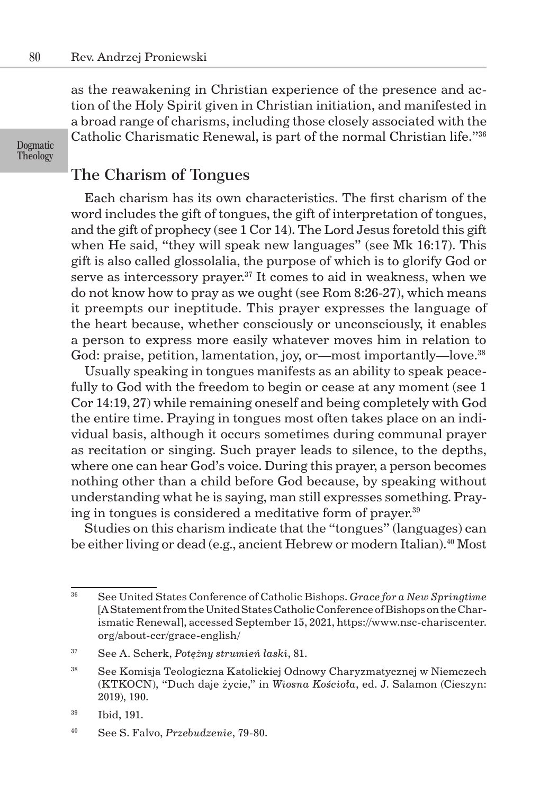as the reawakening in Christian experience of the presence and action of the Holy Spirit given in Christian initiation, and manifested in a broad range of charisms, including those closely associated with the Catholic Charismatic Renewal, is part of the normal Christian life."<sup>36</sup>

Dogmatic Theology

## The Charism of Tongues

Each charism has its own characteristics. The first charism of the word includes the gift of tongues, the gift of interpretation of tongues, and the gift of prophecy (see 1 Cor 14). The Lord Jesus foretold this gift when He said, "they will speak new languages" (see Mk 16:17). This gift is also called glossolalia, the purpose of which is to glorify God or serve as intercessory prayer.<sup>37</sup> It comes to aid in weakness, when we do not know how to pray as we ought (see Rom 8:26-27), which means it preempts our ineptitude. This prayer expresses the language of the heart because, whether consciously or unconsciously, it enables a person to express more easily whatever moves him in relation to God: praise, petition, lamentation, joy, or—most importantly—love.<sup>38</sup>

Usually speaking in tongues manifests as an ability to speak peacefully to God with the freedom to begin or cease at any moment (see 1) Cor 14:19, 27) while remaining oneself and being completely with God the entire time. Praying in tongues most often takes place on an individual basis, although it occurs sometimes during communal prayer as recitation or singing. Such prayer leads to silence, to the depths, where one can hear God's voice. During this prayer, a person becomes nothing other than a child before God because, by speaking without understanding what he is saying, man still expresses something. Praying in tongues is considered a meditative form of prayer.<sup>39</sup>

Studies on this charism indicate that the "tongues" (languages) can be either living or dead (e.g., ancient Hebrew or modern Italian).<sup>40</sup> Most

<sup>36</sup> See United States Conference of Catholic Bishops. *Grace for a New Springtime* [A Statement from the United States Catholic Conference of Bishops on the Charismatic Renewal], accessed September 15, 2021, https://www.nsc-chariscenter. org/about-ccr/grace-english/

<sup>37</sup> See A. Scherk, *Potężny strumień łaski*, 81.

<sup>38</sup> See Komisja Teologiczna Katolickiej Odnowy Charyzmatycznej w Niemczech (KTKOCN), "Duch daje życie," in *Wiosna Kościoła*, ed. J. Salamon (Cieszyn: 2019), 190.

<sup>39</sup> Ibid, 191.

<sup>40</sup> See S. Falvo, *Przebudzenie*, 79-80.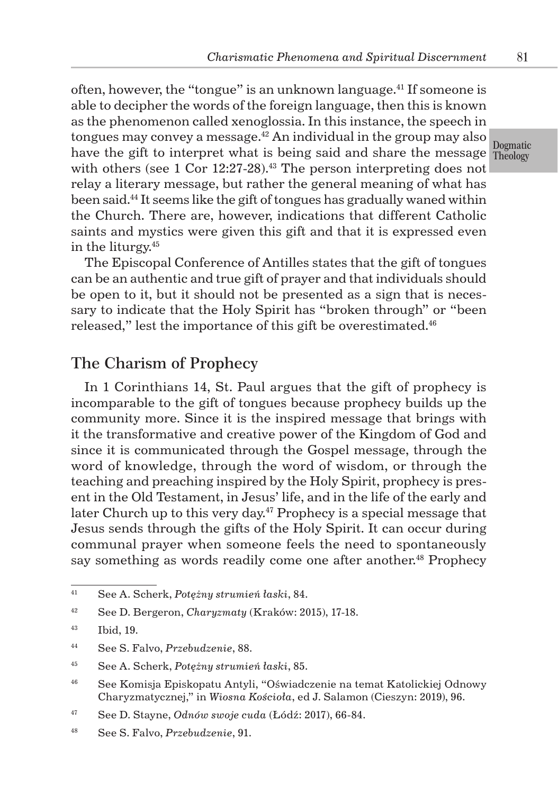have the gift to interpret what is being said and share the message Theology often, however, the "tongue" is an unknown language.<sup>41</sup> If someone is able to decipher the words of the foreign language, then this is known as the phenomenon called xenoglossia. In this instance, the speech in tongues may convey a message. $42$  An individual in the group may also with others (see  $1$  Cor  $12:27-28$ ).<sup>43</sup> The person interpreting does not relay a literary message, but rather the general meaning of what has been said.44 It seems like the gift of tongues has gradually waned within the Church. There are, however, indications that different Catholic saints and mystics were given this gift and that it is expressed even in the liturgy.<sup>45</sup>

The Episcopal Conference of Antilles states that the gift of tongues can be an authentic and true gift of prayer and that individuals should be open to it, but it should not be presented as a sign that is necessary to indicate that the Holy Spirit has "broken through" or "been released," lest the importance of this gift be overestimated.<sup>46</sup>

#### The Charism of Prophecy

In 1 Corinthians 14, St. Paul argues that the gift of prophecy is incomparable to the gift of tongues because prophecy builds up the community more. Since it is the inspired message that brings with it the transformative and creative power of the Kingdom of God and since it is communicated through the Gospel message, through the word of knowledge, through the word of wisdom, or through the teaching and preaching inspired by the Holy Spirit, prophecy is present in the Old Testament, in Jesus' life, and in the life of the early and later Church up to this very day.<sup> $47$ </sup> Prophecy is a special message that Jesus sends through the gifts of the Holy Spirit. It can occur during communal prayer when someone feels the need to spontaneously say something as words readily come one after another.<sup>48</sup> Prophecy

Dogmatic

<sup>41</sup> See A. Scherk, *Potężny strumień łaski*, 84.

<sup>42</sup> See D. Bergeron, *Charyzmaty* (Kraków: 2015), 17-18.

<sup>43</sup> Ibid, 19.

<sup>44</sup> See S. Falvo, *Przebudzenie*, 88.

<sup>45</sup> See A. Scherk, *Potężny strumień łaski*, 85.

<sup>46</sup> See Komisja Episkopatu Antyli, "Oświadczenie na temat Katolickiej Odnowy Charyzmatycznej," in *Wiosna Kościoła*, ed J. Salamon (Cieszyn: 2019), 96.

<sup>47</sup> See D. Stayne, *Odnów swoje cuda* (Łódź: 2017), 66-84.

<sup>48</sup> See S. Falvo, *Przebudzenie*, 91.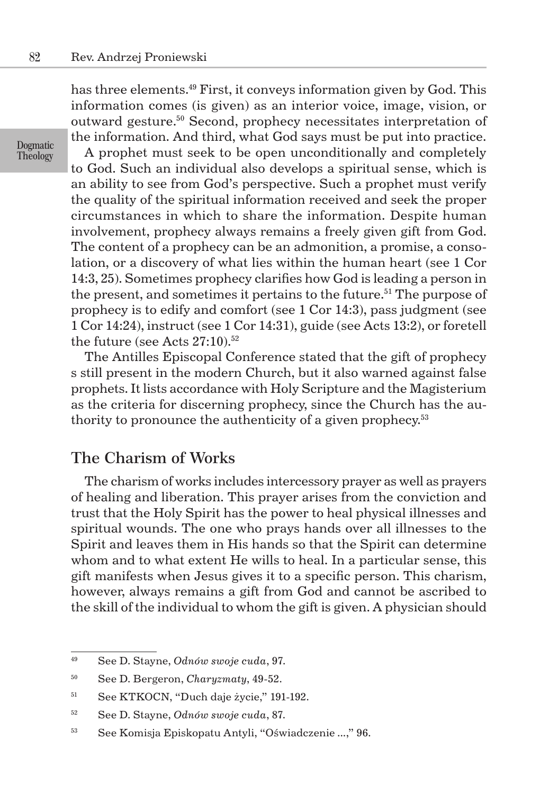has three elements.<sup>49</sup> First, it conveys information given by God. This information comes (is given) as an interior voice, image, vision, or outward gesture.<sup>50</sup> Second, prophecy necessitates interpretation of the information. And third, what God says must be put into practice.

Dogmatic Theology

A prophet must seek to be open unconditionally and completely to God. Such an individual also develops a spiritual sense, which is an ability to see from God's perspective. Such a prophet must verify the quality of the spiritual information received and seek the proper circumstances in which to share the information. Despite human involvement, prophecy always remains a freely given gift from God. The content of a prophecy can be an admonition, a promise, a consolation, or a discovery of what lies within the human heart (see 1 Cor 14:3, 25). Sometimes prophecy clarifies how God is leading a person in the present, and sometimes it pertains to the future.<sup>51</sup> The purpose of prophecy is to edify and comfort (see 1 Cor 14:3), pass judgment (see 1 Cor 14:24), instruct (see 1 Cor 14:31), guide (see Acts 13:2), or foretell the future (see Acts  $27:10$ ).<sup>52</sup>

The Antilles Episcopal Conference stated that the gift of prophecy s still present in the modern Church, but it also warned against false prophets. It lists accordance with Holy Scripture and the Magisterium as the criteria for discerning prophecy, since the Church has the authority to pronounce the authenticity of a given prophecy.<sup>53</sup>

#### The Charism of Works

The charism of works includes intercessory prayer as well as prayers of healing and liberation. This prayer arises from the conviction and trust that the Holy Spirit has the power to heal physical illnesses and spiritual wounds. The one who prays hands over all illnesses to the Spirit and leaves them in His hands so that the Spirit can determine whom and to what extent He wills to heal. In a particular sense, this gift manifests when Jesus gives it to a specific person. This charism, however, always remains a gift from God and cannot be ascribed to the skill of the individual to whom the gift is given. A physician should

<sup>49</sup> See D. Stayne, *Odnów swoje cuda*, 97.

<sup>50</sup> See D. Bergeron, *Charyzmaty*, 49-52.

<sup>51</sup> See KTKOCN, "Duch daje życie," 191-192.

<sup>52</sup> See D. Stayne, *Odnów swoje cuda*, 87.

<sup>53</sup> See Komisja Episkopatu Antyli, "Oświadczenie *...*," 96.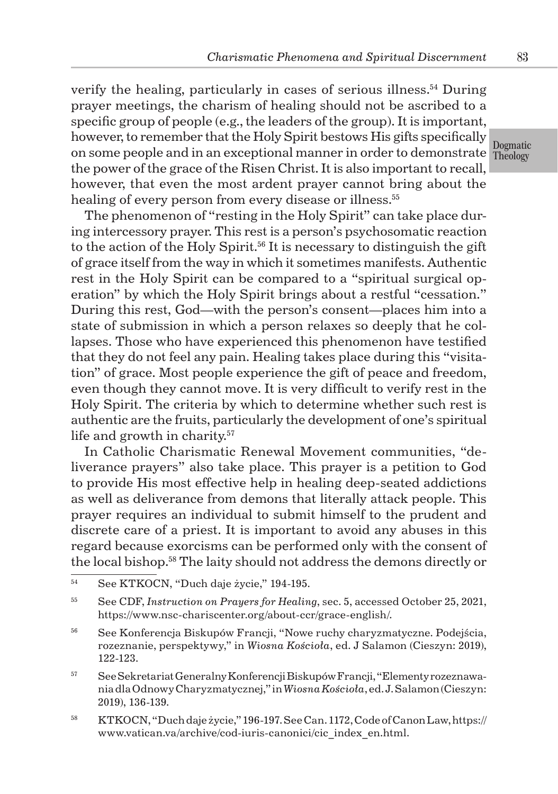on some people and in an exceptional manner in order to demonstrate Theology verify the healing, particularly in cases of serious illness.<sup>54</sup> During prayer meetings, the charism of healing should not be ascribed to a specific group of people (e.g., the leaders of the group). It is important, however, to remember that the Holy Spirit bestows His gifts specifically the power of the grace of the Risen Christ. It is also important to recall, however, that even the most ardent prayer cannot bring about the healing of every person from every disease or illness.<sup>55</sup>

The phenomenon of "resting in the Holy Spirit" can take place during intercessory prayer. This rest is a person's psychosomatic reaction to the action of the Holy Spirit.<sup>56</sup> It is necessary to distinguish the gift of grace itself from the way in which it sometimes manifests. Authentic rest in the Holy Spirit can be compared to a "spiritual surgical operation" by which the Holy Spirit brings about a restful "cessation." During this rest, God—with the person's consent—places him into a state of submission in which a person relaxes so deeply that he collapses. Those who have experienced this phenomenon have testified that they do not feel any pain. Healing takes place during this "visitation" of grace. Most people experience the gift of peace and freedom, even though they cannot move. It is very difficult to verify rest in the Holy Spirit. The criteria by which to determine whether such rest is authentic are the fruits, particularly the development of one's spiritual life and growth in charity.<sup>57</sup>

In Catholic Charismatic Renewal Movement communities, "deliverance prayers" also take place. This prayer is a petition to God to provide His most effective help in healing deep-seated addictions as well as deliverance from demons that literally attack people. This prayer requires an individual to submit himself to the prudent and discrete care of a priest. It is important to avoid any abuses in this regard because exorcisms can be performed only with the consent of the local bishop.<sup>58</sup> The laity should not address the demons directly or

- <sup>57</sup> See Sekretariat Generalny Konferencji Biskupów Francji, "Elementy rozeznawania dla Odnowy Charyzmatycznej," in *Wiosna Kościoła*, ed. J. Salamon (Cieszyn: 2019), 136-139.
- <sup>58</sup> KTKOCN, "Duch daje życie," 196-197. See Can. 1172, Code of Canon Law, https:// www.vatican.va/archive/cod-iuris-canonici/cic\_index\_en.html.

Dogmatic

<sup>54</sup> See KTKOCN, "Duch daje życie," 194-195.

<sup>55</sup> See CDF, *Instruction on Prayers for Healing*, sec. 5, accessed October 25, 2021, https://www.nsc-chariscenter.org/about-ccr/grace-english/.

<sup>56</sup> See Konferencja Biskupów Francji, "Nowe ruchy charyzmatyczne. Podejścia, rozeznanie, perspektywy," in *Wiosna Kościoła*, ed. J Salamon (Cieszyn: 2019), 122-123.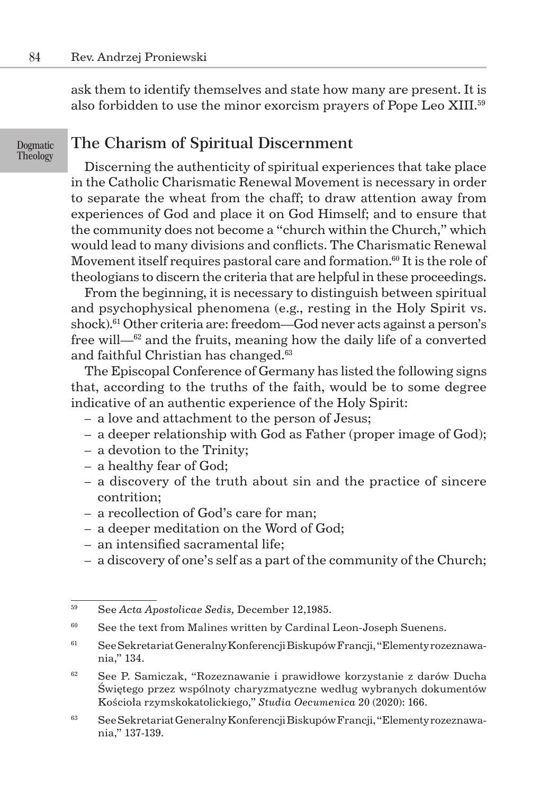Dogmatic Theology

ask them to identify themselves and state how many are present. It is also forbidden to use the minor exorcism prayers of Pope Leo XIII.<sup>59</sup>

### The Charism of Spiritual Discernment

Discerning the authenticity of spiritual experiences that take place in the Catholic Charismatic Renewal Movement is necessary in order to separate the wheat from the chaff; to draw attention away from experiences of God and place it on God Himself; and to ensure that the community does not become a "church within the Church," which would lead to many divisions and conflicts. The Charismatic Renewal Movement itself requires pastoral care and formation.<sup>60</sup> It is the role of theologians to discern the criteria that are helpful in these proceedings.

From the beginning, it is necessary to distinguish between spiritual and psychophysical phenomena (e.g., resting in the Holy Spirit vs. shock).<sup>61</sup> Other criteria are: freedom—God never acts against a person's free will—<sup>62</sup> and the fruits, meaning how the daily life of a converted and faithful Christian has changed.<sup>63</sup>

The Episcopal Conference of Germany has listed the following signs that, according to the truths of the faith, would be to some degree indicative of an authentic experience of the Holy Spirit:

- a love and attachment to the person of Jesus;
- a deeper relationship with God as Father (proper image of God);
- a devotion to the Trinity;
- a healthy fear of God;
- a discovery of the truth about sin and the practice of sincere contrition;
- a recollection of God's care for man;
- a deeper meditation on the Word of God;
- an intensified sacramental life;
- a discovery of one's self as a part of the community of the Church;

<sup>59</sup> See *Acta Apostolicae Sedis,* December 12,1985.

<sup>&</sup>lt;sup>60</sup> See the text from Malines written by Cardinal Leon-Joseph Suenens.

<sup>61</sup> See Sekretariat Generalny Konferencji Biskupów Francji, "Elementy rozeznawania," 134.

<sup>62</sup> See P. Samiczak, "Rozeznawanie i prawidłowe korzystanie z darów Ducha Świętego przez wspólnoty charyzmatyczne według wybranych dokumentów Kościoła rzymskokatolickiego," *Studia Oecumenica* 20 (2020): 166.

<sup>63</sup> See Sekretariat Generalny Konferencji Biskupów Francji, "Elementy rozeznawania," 137-139.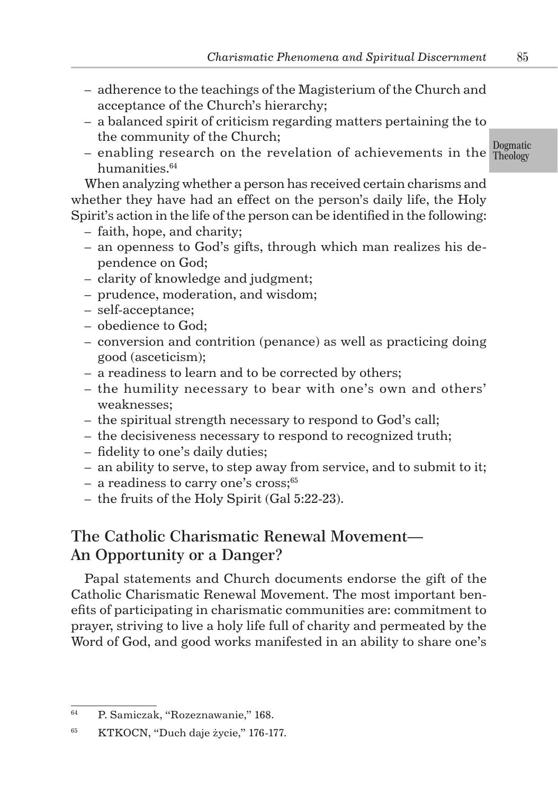- adherence to the teachings of the Magisterium of the Church and acceptance of the Church's hierarchy;
- a balanced spirit of criticism regarding matters pertaining the to the community of the Church;
- Dogmatic – enabling research on the revelation of achievements in the  $T_{\text{heology}}$ humanities.<sup>64</sup>

When analyzing whether a person has received certain charisms and whether they have had an effect on the person's daily life, the Holy Spirit's action in the life of the person can be identified in the following:

- faith, hope, and charity;
- an openness to God's gifts, through which man realizes his dependence on God;
- clarity of knowledge and judgment;
- prudence, moderation, and wisdom;
- self-acceptance;
- obedience to God;
- conversion and contrition (penance) as well as practicing doing good (asceticism);
- a readiness to learn and to be corrected by others;
- the humility necessary to bear with one's own and others' weaknesses;
- the spiritual strength necessary to respond to God's call;
- the decisiveness necessary to respond to recognized truth;
- fidelity to one's daily duties;
- an ability to serve, to step away from service, and to submit to it;
- a readiness to carry one's cross;<sup>65</sup>
- the fruits of the Holy Spirit (Gal 5:22-23).

## The Catholic Charismatic Renewal Movement— An Opportunity or a Danger?

Papal statements and Church documents endorse the gift of the Catholic Charismatic Renewal Movement. The most important benefits of participating in charismatic communities are: commitment to prayer, striving to live a holy life full of charity and permeated by the Word of God, and good works manifested in an ability to share one's

<sup>64</sup> P. Samiczak, "Rozeznawanie," 168.

<sup>65</sup> KTKOCN, "Duch daje życie," 176-177.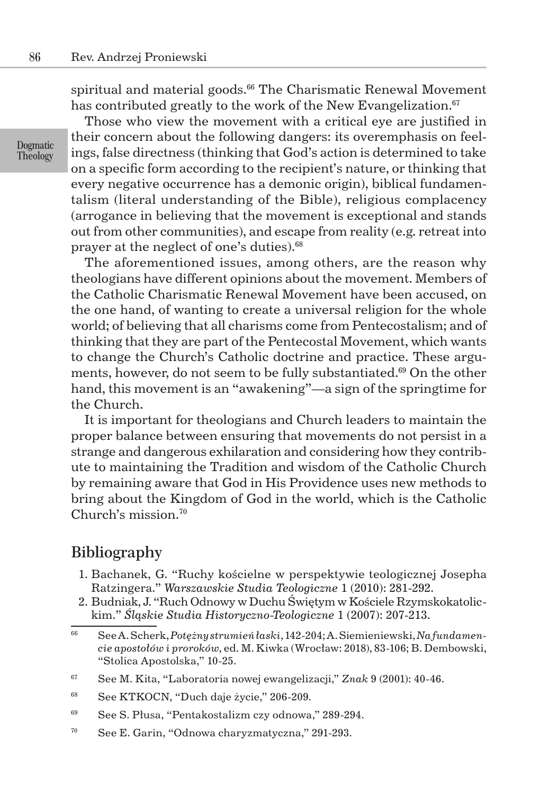spiritual and material goods.<sup>66</sup> The Charismatic Renewal Movement has contributed greatly to the work of the New Evangelization.<sup>67</sup>

Dogmatic Theology

Those who view the movement with a critical eye are justified in their concern about the following dangers: its overemphasis on feelings, false directness (thinking that God's action is determined to take on a specific form according to the recipient's nature, or thinking that every negative occurrence has a demonic origin), biblical fundamentalism (literal understanding of the Bible), religious complacency (arrogance in believing that the movement is exceptional and stands out from other communities), and escape from reality (e.g. retreat into prayer at the neglect of one's duties).<sup>68</sup>

The aforementioned issues, among others, are the reason why theologians have different opinions about the movement. Members of the Catholic Charismatic Renewal Movement have been accused, on the one hand, of wanting to create a universal religion for the whole world; of believing that all charisms come from Pentecostalism; and of thinking that they are part of the Pentecostal Movement, which wants to change the Church's Catholic doctrine and practice. These arguments, however, do not seem to be fully substantiated.<sup>69</sup> On the other hand, this movement is an "awakening"—a sign of the springtime for the Church.

It is important for theologians and Church leaders to maintain the proper balance between ensuring that movements do not persist in a strange and dangerous exhilaration and considering how they contribute to maintaining the Tradition and wisdom of the Catholic Church by remaining aware that God in His Providence uses new methods to bring about the Kingdom of God in the world, which is the Catholic Church's mission.<sup>70</sup>

#### Bibliography

- 1. Bachanek, G. "Ruchy kościelne w perspektywie teologicznej Josepha Ratzingera." *Warszawskie Studia Teologiczne* 1 (2010): 281-292.
- 2. Budniak, J. "Ruch Odnowy w Duchu Świętym w Kościele Rzymskokatolickim." *Śląskie Studia Historyczno-Teologiczne* 1 (2007): 207-213.

<sup>66</sup> See A. Scherk, *Potężny strumień łaski*, 142-204; A. Siemieniewski, *Na fundamencie apostołów i proroków*, ed. M. Kiwka (Wrocław: 2018), 83-106; B. Dembowski, "Stolica Apostolska," 10-25.

<sup>67</sup> See M. Kita, "Laboratoria nowej ewangelizacji," *Znak* 9 (2001): 40-46.

<sup>68</sup> See KTKOCN, "Duch daje życie," 206-209.

<sup>69</sup> See S. Płusa, "Pentakostalizm czy odnowa," 289-294.

<sup>70</sup> See E. Garin, "Odnowa charyzmatyczna," 291-293.